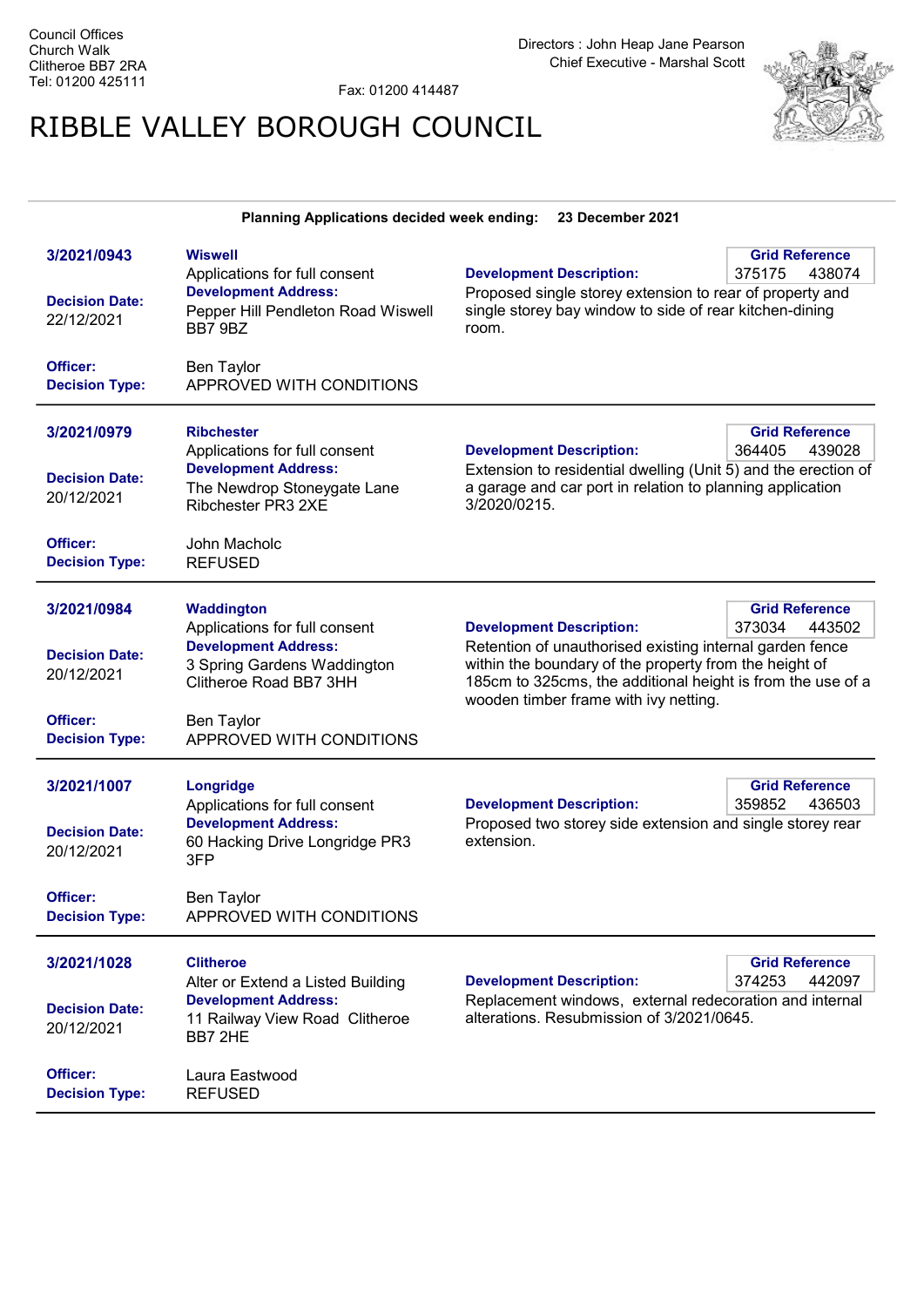Fax: 01200 414487

## RIBBLE VALLEY BOROUGH COUNCIL



| <b>Planning Applications decided week ending:</b><br>23 December 2021                   |                                                                                                                                                                                             |                                                                                                                                                                                                                                                               |                                           |
|-----------------------------------------------------------------------------------------|---------------------------------------------------------------------------------------------------------------------------------------------------------------------------------------------|---------------------------------------------------------------------------------------------------------------------------------------------------------------------------------------------------------------------------------------------------------------|-------------------------------------------|
| 3/2021/0943<br><b>Decision Date:</b><br>22/12/2021<br>Officer:<br><b>Decision Type:</b> | <b>Wiswell</b><br>Applications for full consent<br><b>Development Address:</b><br>Pepper Hill Pendleton Road Wiswell<br>BB7 9BZ<br><b>Ben Taylor</b><br>APPROVED WITH CONDITIONS            | <b>Development Description:</b><br>Proposed single storey extension to rear of property and<br>single storey bay window to side of rear kitchen-dining<br>room.                                                                                               | <b>Grid Reference</b><br>375175<br>438074 |
| 3/2021/0979<br><b>Decision Date:</b><br>20/12/2021<br>Officer:<br><b>Decision Type:</b> | <b>Ribchester</b><br>Applications for full consent<br><b>Development Address:</b><br>The Newdrop Stoneygate Lane<br>Ribchester PR3 2XE<br>John Macholc<br><b>REFUSED</b>                    | <b>Development Description:</b><br>Extension to residential dwelling (Unit 5) and the erection of<br>a garage and car port in relation to planning application<br>3/2020/0215.                                                                                | <b>Grid Reference</b><br>364405<br>439028 |
| 3/2021/0984<br><b>Decision Date:</b><br>20/12/2021<br>Officer:<br><b>Decision Type:</b> | <b>Waddington</b><br>Applications for full consent<br><b>Development Address:</b><br>3 Spring Gardens Waddington<br>Clitheroe Road BB7 3HH<br><b>Ben Taylor</b><br>APPROVED WITH CONDITIONS | <b>Development Description:</b><br>Retention of unauthorised existing internal garden fence<br>within the boundary of the property from the height of<br>185cm to 325cms, the additional height is from the use of a<br>wooden timber frame with ivy netting. | <b>Grid Reference</b><br>373034<br>443502 |
| 3/2021/1007<br><b>Decision Date:</b><br>20/12/2021<br>Officer:<br><b>Decision Type:</b> | Longridge<br>Applications for full consent<br><b>Development Address:</b><br>60 Hacking Drive Longridge PR3<br>3FP<br><b>Ben Taylor</b><br>APPROVED WITH CONDITIONS                         | <b>Development Description:</b><br>Proposed two storey side extension and single storey rear<br>extension.                                                                                                                                                    | <b>Grid Reference</b><br>359852<br>436503 |
| 3/2021/1028<br><b>Decision Date:</b><br>20/12/2021<br>Officer:<br><b>Decision Type:</b> | <b>Clitheroe</b><br>Alter or Extend a Listed Building<br><b>Development Address:</b><br>11 Railway View Road Clitheroe<br>BB7 2HE<br>Laura Eastwood<br><b>REFUSED</b>                       | <b>Development Description:</b><br>Replacement windows, external redecoration and internal<br>alterations. Resubmission of 3/2021/0645.                                                                                                                       | <b>Grid Reference</b><br>374253<br>442097 |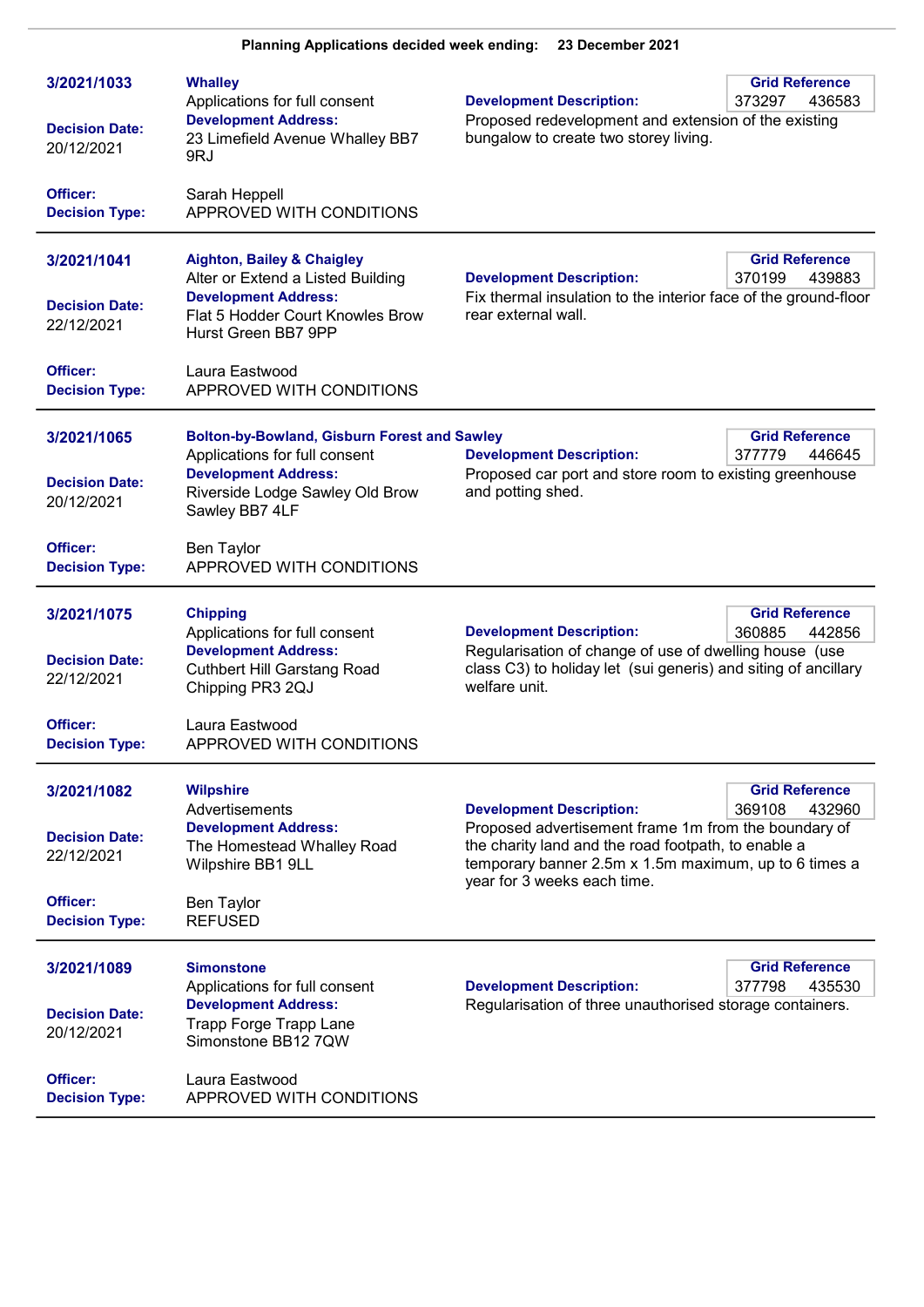| 3/2021/1033<br><b>Decision Date:</b><br>20/12/2021<br>Officer: | <b>Whalley</b><br>Applications for full consent<br><b>Development Address:</b><br>23 Limefield Avenue Whalley BB7<br>9RJ<br>Sarah Heppell                                | <b>Development Description:</b><br>Proposed redevelopment and extension of the existing<br>bungalow to create two storey living.                                                                                                       | <b>Grid Reference</b><br>373297<br>436583 |
|----------------------------------------------------------------|--------------------------------------------------------------------------------------------------------------------------------------------------------------------------|----------------------------------------------------------------------------------------------------------------------------------------------------------------------------------------------------------------------------------------|-------------------------------------------|
| <b>Decision Type:</b>                                          | APPROVED WITH CONDITIONS                                                                                                                                                 |                                                                                                                                                                                                                                        |                                           |
| 3/2021/1041<br><b>Decision Date:</b><br>22/12/2021             | <b>Aighton, Bailey &amp; Chaigley</b><br>Alter or Extend a Listed Building<br><b>Development Address:</b><br>Flat 5 Hodder Court Knowles Brow<br>Hurst Green BB7 9PP     | <b>Development Description:</b><br>Fix thermal insulation to the interior face of the ground-floor<br>rear external wall.                                                                                                              | <b>Grid Reference</b><br>370199<br>439883 |
| Officer:<br><b>Decision Type:</b>                              | Laura Eastwood<br>APPROVED WITH CONDITIONS                                                                                                                               |                                                                                                                                                                                                                                        |                                           |
| 3/2021/1065<br><b>Decision Date:</b><br>20/12/2021             | <b>Bolton-by-Bowland, Gisburn Forest and Sawley</b><br>Applications for full consent<br><b>Development Address:</b><br>Riverside Lodge Sawley Old Brow<br>Sawley BB7 4LF | <b>Development Description:</b><br>Proposed car port and store room to existing greenhouse<br>and potting shed.                                                                                                                        | <b>Grid Reference</b><br>377779<br>446645 |
| <b>Officer:</b><br><b>Decision Type:</b>                       | <b>Ben Taylor</b><br>APPROVED WITH CONDITIONS                                                                                                                            |                                                                                                                                                                                                                                        |                                           |
| 3/2021/1075<br><b>Decision Date:</b><br>22/12/2021<br>Officer: | <b>Chipping</b><br>Applications for full consent<br><b>Development Address:</b><br><b>Cuthbert Hill Garstang Road</b><br>Chipping PR3 2QJ<br>Laura Eastwood              | <b>Development Description:</b><br>Regularisation of change of use of dwelling house (use<br>class C3) to holiday let (sui generis) and siting of ancillary<br>welfare unit.                                                           | <b>Grid Reference</b><br>360885<br>442856 |
| <b>Decision Type:</b>                                          | APPROVED WITH CONDITIONS                                                                                                                                                 |                                                                                                                                                                                                                                        |                                           |
| 3/2021/1082<br><b>Decision Date:</b><br>22/12/2021             | <b>Wilpshire</b><br>Advertisements<br><b>Development Address:</b><br>The Homestead Whalley Road<br>Wilpshire BB1 9LL                                                     | <b>Development Description:</b><br>Proposed advertisement frame 1m from the boundary of<br>the charity land and the road footpath, to enable a<br>temporary banner 2.5m x 1.5m maximum, up to 6 times a<br>year for 3 weeks each time. | <b>Grid Reference</b><br>369108<br>432960 |
| Officer:<br><b>Decision Type:</b>                              | <b>Ben Taylor</b><br><b>REFUSED</b>                                                                                                                                      |                                                                                                                                                                                                                                        |                                           |
| 3/2021/1089<br><b>Decision Date:</b><br>20/12/2021             | <b>Simonstone</b><br>Applications for full consent<br><b>Development Address:</b><br><b>Trapp Forge Trapp Lane</b><br>Simonstone BB12 7QW                                | <b>Development Description:</b><br>Regularisation of three unauthorised storage containers.                                                                                                                                            | <b>Grid Reference</b><br>377798<br>435530 |
| Officer:<br><b>Decision Type:</b>                              | Laura Eastwood<br>APPROVED WITH CONDITIONS                                                                                                                               |                                                                                                                                                                                                                                        |                                           |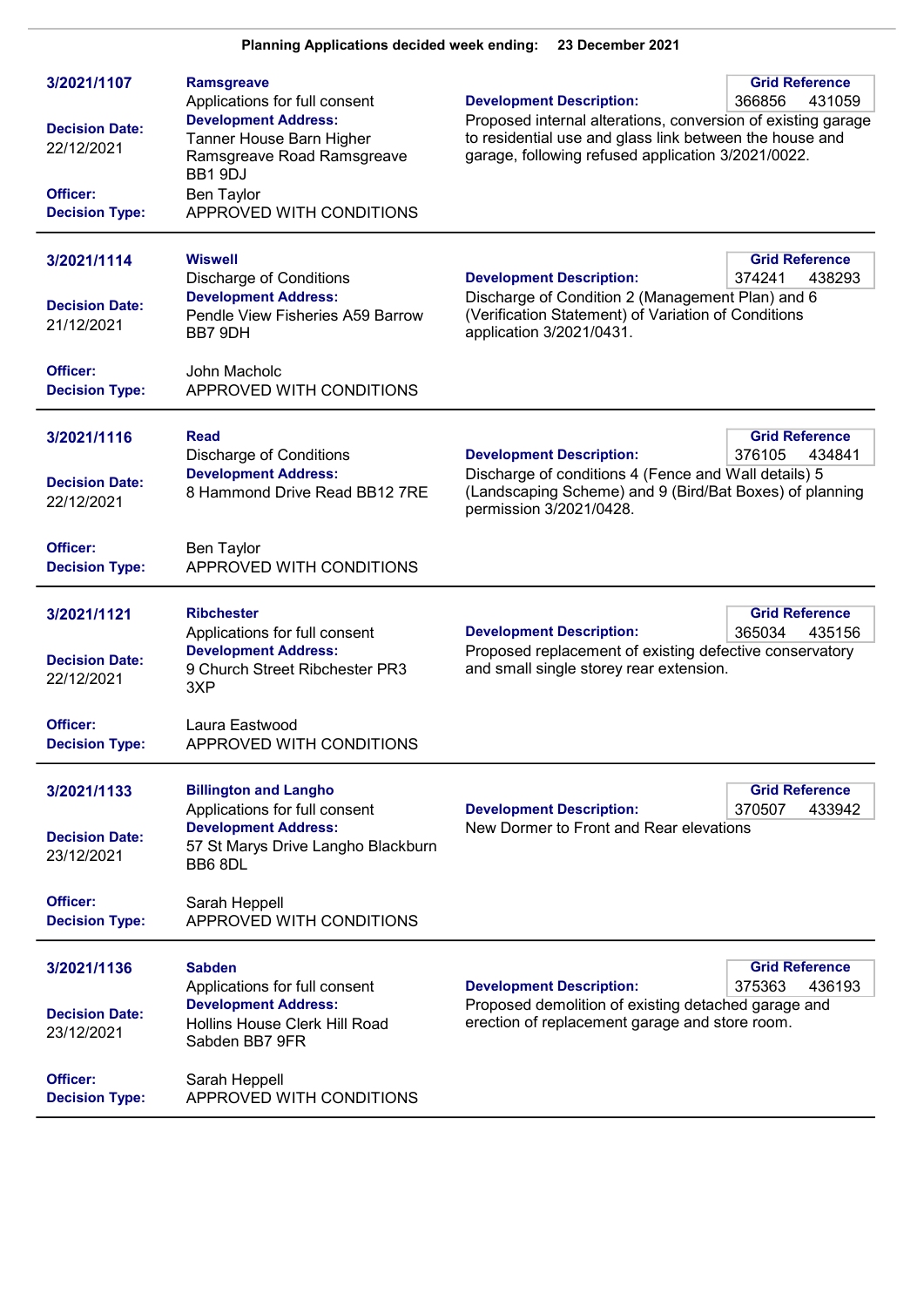| 3/2021/1107<br><b>Decision Date:</b><br>22/12/2021<br>Officer:<br><b>Decision Type:</b>        | <b>Ramsgreave</b><br>Applications for full consent<br><b>Development Address:</b><br>Tanner House Barn Higher<br>Ramsgreave Road Ramsgreave<br>BB1 9DJ<br><b>Ben Taylor</b><br>APPROVED WITH CONDITIONS | <b>Grid Reference</b><br><b>Development Description:</b><br>366856<br>431059<br>Proposed internal alterations, conversion of existing garage<br>to residential use and glass link between the house and<br>garage, following refused application 3/2021/0022. |
|------------------------------------------------------------------------------------------------|---------------------------------------------------------------------------------------------------------------------------------------------------------------------------------------------------------|---------------------------------------------------------------------------------------------------------------------------------------------------------------------------------------------------------------------------------------------------------------|
| 3/2021/1114<br><b>Decision Date:</b><br>21/12/2021<br>Officer:<br><b>Decision Type:</b>        | <b>Wiswell</b><br><b>Discharge of Conditions</b><br><b>Development Address:</b><br>Pendle View Fisheries A59 Barrow<br>BB7 9DH<br>John Macholc<br>APPROVED WITH CONDITIONS                              | <b>Grid Reference</b><br><b>Development Description:</b><br>374241<br>438293<br>Discharge of Condition 2 (Management Plan) and 6<br>(Verification Statement) of Variation of Conditions<br>application 3/2021/0431.                                           |
| 3/2021/1116<br><b>Decision Date:</b><br>22/12/2021<br>Officer:<br><b>Decision Type:</b>        | Read<br><b>Discharge of Conditions</b><br><b>Development Address:</b><br>8 Hammond Drive Read BB12 7RE<br>Ben Taylor<br>APPROVED WITH CONDITIONS                                                        | <b>Grid Reference</b><br><b>Development Description:</b><br>376105<br>434841<br>Discharge of conditions 4 (Fence and Wall details) 5<br>(Landscaping Scheme) and 9 (Bird/Bat Boxes) of planning<br>permission 3/2021/0428.                                    |
| 3/2021/1121<br><b>Decision Date:</b><br>22/12/2021<br>Officer:<br><b>Decision Type:</b>        | <b>Ribchester</b><br>Applications for full consent<br><b>Development Address:</b><br>9 Church Street Ribchester PR3<br>3XP<br>Laura Eastwood<br>APPROVED WITH CONDITIONS                                | <b>Grid Reference</b><br>365034<br><b>Development Description:</b><br>435156<br>Proposed replacement of existing defective conservatory<br>and small single storey rear extension.                                                                            |
| 3/2021/1133<br><b>Decision Date:</b><br>23/12/2021<br><b>Officer:</b><br><b>Decision Type:</b> | <b>Billington and Langho</b><br>Applications for full consent<br><b>Development Address:</b><br>57 St Marys Drive Langho Blackburn<br>BB68DL<br>Sarah Heppell<br>APPROVED WITH CONDITIONS               | <b>Grid Reference</b><br>433942<br><b>Development Description:</b><br>370507<br>New Dormer to Front and Rear elevations                                                                                                                                       |
| 3/2021/1136<br><b>Decision Date:</b><br>23/12/2021<br>Officer:<br><b>Decision Type:</b>        | <b>Sabden</b><br>Applications for full consent<br><b>Development Address:</b><br>Hollins House Clerk Hill Road<br>Sabden BB7 9FR<br>Sarah Heppell<br>APPROVED WITH CONDITIONS                           | <b>Grid Reference</b><br><b>Development Description:</b><br>375363<br>436193<br>Proposed demolition of existing detached garage and<br>erection of replacement garage and store room.                                                                         |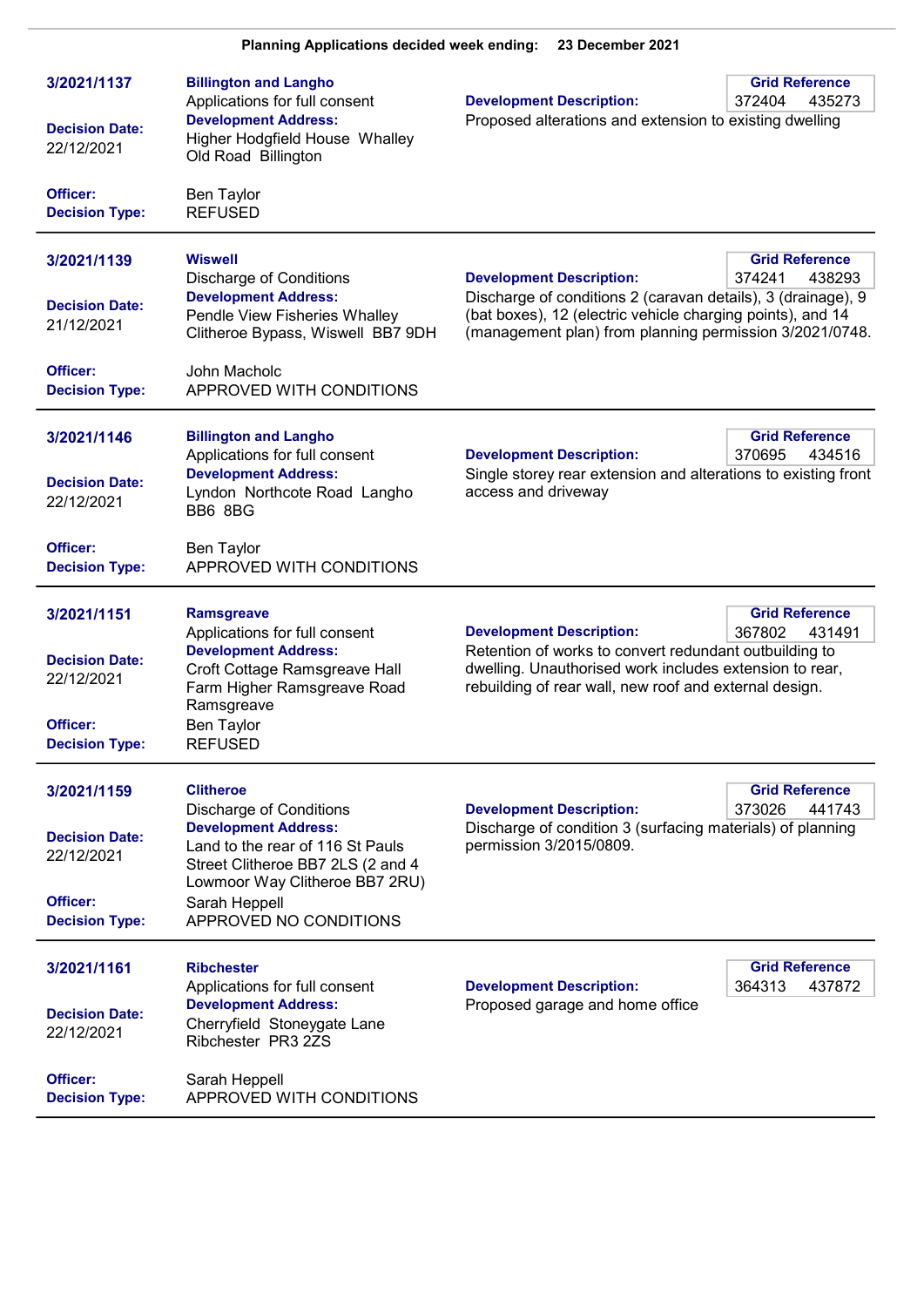| 3/2021/1137                         | <b>Billington and Langho</b><br>Applications for full consent                                                                          | <b>Development Description:</b>                                                                                                                                                       | <b>Grid Reference</b><br>372404<br>435273 |
|-------------------------------------|----------------------------------------------------------------------------------------------------------------------------------------|---------------------------------------------------------------------------------------------------------------------------------------------------------------------------------------|-------------------------------------------|
| <b>Decision Date:</b><br>22/12/2021 | <b>Development Address:</b><br>Higher Hodgfield House Whalley<br>Old Road Billington                                                   | Proposed alterations and extension to existing dwelling                                                                                                                               |                                           |
| Officer:<br><b>Decision Type:</b>   | <b>Ben Taylor</b><br><b>REFUSED</b>                                                                                                    |                                                                                                                                                                                       |                                           |
| 3/2021/1139                         | <b>Wiswell</b><br><b>Discharge of Conditions</b>                                                                                       | <b>Development Description:</b>                                                                                                                                                       | <b>Grid Reference</b><br>374241<br>438293 |
| <b>Decision Date:</b><br>21/12/2021 | <b>Development Address:</b><br>Pendle View Fisheries Whalley<br>Clitheroe Bypass, Wiswell BB7 9DH                                      | Discharge of conditions 2 (caravan details), 3 (drainage), 9<br>(bat boxes), 12 (electric vehicle charging points), and 14<br>(management plan) from planning permission 3/2021/0748. |                                           |
| Officer:<br><b>Decision Type:</b>   | John Macholc<br>APPROVED WITH CONDITIONS                                                                                               |                                                                                                                                                                                       |                                           |
| 3/2021/1146                         | <b>Billington and Langho</b><br>Applications for full consent                                                                          | <b>Development Description:</b>                                                                                                                                                       | <b>Grid Reference</b><br>370695<br>434516 |
| <b>Decision Date:</b><br>22/12/2021 | <b>Development Address:</b><br>Lyndon Northcote Road Langho<br>BB6 8BG                                                                 | Single storey rear extension and alterations to existing front<br>access and driveway                                                                                                 |                                           |
| Officer:<br><b>Decision Type:</b>   | Ben Taylor<br>APPROVED WITH CONDITIONS                                                                                                 |                                                                                                                                                                                       |                                           |
| 3/2021/1151                         | <b>Ramsgreave</b><br>Applications for full consent                                                                                     | <b>Development Description:</b>                                                                                                                                                       | <b>Grid Reference</b><br>367802<br>431491 |
| <b>Decision Date:</b><br>22/12/2021 | <b>Development Address:</b><br>Croft Cottage Ramsgreave Hall<br>Farm Higher Ramsgreave Road<br>Ramsgreave                              | Retention of works to convert redundant outbuilding to<br>dwelling. Unauthorised work includes extension to rear,<br>rebuilding of rear wall, new roof and external design.           |                                           |
| Officer:<br><b>Decision Type:</b>   | <b>Ben Taylor</b><br><b>REFUSED</b>                                                                                                    |                                                                                                                                                                                       |                                           |
| 3/2021/1159                         | <b>Clitheroe</b><br><b>Discharge of Conditions</b>                                                                                     | <b>Development Description:</b>                                                                                                                                                       | <b>Grid Reference</b><br>373026<br>441743 |
| <b>Decision Date:</b><br>22/12/2021 | <b>Development Address:</b><br>Land to the rear of 116 St Pauls<br>Street Clitheroe BB7 2LS (2 and 4<br>Lowmoor Way Clitheroe BB7 2RU) | Discharge of condition 3 (surfacing materials) of planning<br>permission 3/2015/0809.                                                                                                 |                                           |
| Officer:<br><b>Decision Type:</b>   | Sarah Heppell<br>APPROVED NO CONDITIONS                                                                                                |                                                                                                                                                                                       |                                           |
| 3/2021/1161                         | <b>Ribchester</b><br>Applications for full consent                                                                                     | <b>Development Description:</b>                                                                                                                                                       | <b>Grid Reference</b><br>364313<br>437872 |
| <b>Decision Date:</b><br>22/12/2021 | <b>Development Address:</b><br>Cherryfield Stoneygate Lane<br>Ribchester PR3 2ZS                                                       | Proposed garage and home office                                                                                                                                                       |                                           |
| Officer:<br><b>Decision Type:</b>   | Sarah Heppell<br>APPROVED WITH CONDITIONS                                                                                              |                                                                                                                                                                                       |                                           |

Planning Applications decided week ending: 23 December 2021